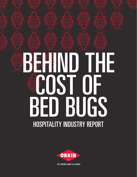# HOSPITALITY INDUSTRY REPORT BEHIND THE COST OF BED BUGS

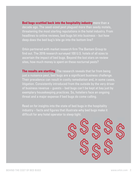**Bed bugs scuttled back into the hospitality industry** more than a decade ago. The seed-sized pest plagued more than seedy motels, threatening the most sterling reputations in the hotel industry. From headlines to online reviews, bed bugs bit into business – but how deep does the bed bug's bite go into the bottom line?

Orkin partnered with market research firm The Bantam Group to find out. The 2016 research surveyed 100 U.S. hotels of all sizes to ascertain the impact of bed bugs. Beyond the lost stars on review sites, how much money is spent on these nocturnal pests?

**The results are startling.** The research reveals that far from being just a nuisance pest, bed bugs are a significant business challenge. Their prevalence can result in costly remediation and, in some cases, litigation. Consistently introduced from the outside by the very driver of business revenue – guests – bed bugs can't be kept at bay just by exemplary housekeeping practices. So, hoteliers face an ongoing threat and a major expense if bed bugs do come calling.

Read on for insights into the state of bed bugs in the hospitality industry – facts and figures that illustrate why bed bugs make it difficult for any hotel operator to sleep tight.

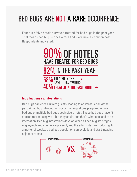# BED BUGS ARE NOT A RARE OCCURRENCE

Four out of five hotels surveyed treated for bed bugs in the past year. That means bed bugs – once a rare find – are now a common pest. Respondents indicated:



### **Introductions vs. Infestations**

Bed bugs can check in with guests, leading to an introduction of the pest. A bed bug introduction occurs when just one pregnant female bed bug or multiple bed bugs get inside a hotel. These bed bugs haven't started reproducing yet – but they could, and that's what can lead to an infestation. Bed bug infestations develop when all bed bug life stages – egg, nymph and adult – are present, and the adults start reproducing. In a matter of weeks, a bed bug population can explode and start invading adjacent rooms.

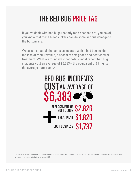# THE BED BUG PRICE TAG

If you've dealt with bed bugs recently (and chances are, you have), you know that these bloodsuckers can do some serious damage to the bottom line.

We asked about all the costs associated with a bed bug incident the loss of room revenue, disposal of soft goods and pest control treatment. What we found was that hotels' most recent bed bug incidents cost an average of \$6,383 – the equivalent of 51 nights in the average hotel room.<sup>2</sup>



2 Average daily rate of hotels in the United States from 2001 to 2016 (in U.S. dollars). Statista, 2017. https://www.statista.com/statistics/195704/ average-hotel-room-rate-in-the-us-since-2005.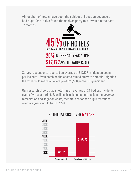Almost half of hotels have been the subject of litigation because of bed bugs. One in five found themselves party to a lawsuit in the past 12 months.



Survey respondents reported an average of \$17,177 in litigation costs – per incident. If you combine the cost to remediate with potential litigation, the total could reach an average of \$23,560 per bed bug incident.

Our research shows that a hotel has an average of 7.1 bed bug incidents over a five-year period. Even if each incident generated just the *average* remediation and litigation costs, the total cost of bed bug infestations over five years would be \$167,276.



## POTENTIAL COST OVER 5 YEARS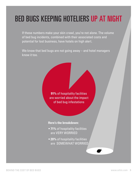# BED BUGS KEEPING HOTELIERS UP AT NIGHT

If these numbers make your skin crawl, you're not alone. The volume of bed bug incidents, combined with their associated costs and potential for lost business, have hotels on high alert.

We know that bed bugs are not going away – and hotel managers know it too.

> **91%** of hospitality facilities are worried about the impact of bed bug infestations

#### **Here's the breakdown:**

- **71%** of hospitality facilities are VERY WORRIED
- **20%** of hospitality facilities are SOMEWHAT WORRIED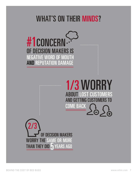## WHAT'S ON THEIR MINDS?

# #1CONCERN NEGATIVE WORD OF MOUTH OF DECISION MAKERS IS AND REPUTATION DAMAGE



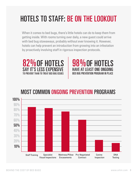# HOTELS TO STAFF: BE ON THE LOOKOUT

When it comes to bed bugs, there's little hotels can do to keep them from getting inside. With rooms turning over daily, a new guest could arrive with bed bug stowaways, probably without ever knowing it. However, hotels can help prevent an introduction from growing into an infestation by proactively involving staff in rigorous inspection protocols.



98%OF HOTELS HAVE AT LEAST ONE ONGOING BED BUG PREVENTION PROGRAM IN PLACE

## MOST COMMON ONGOING PREVENTION PROGRAMS

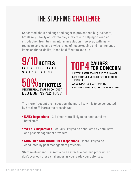# THE STAFFING CHALLENGE

Concerned about bed bugs and eager to prevent bed bug incidents, hotels rely heavily on staff to play a key role in helping to keep an introduction from turning into an infestation. However, with many rooms to service and a wide range of housekeeping and maintenance items on the to-do list, it can be difficult to keep up.

FACE BED BUG-RELATED STAFFING CHALLENGES **9/10 HOTELS** 



TOP 4 **CAUSES FOR CONCERN**

- **1.** KEEPING STAFF TRAINED DUE TO TURNOVER
- **2.** PRIORITIZING ONGOING STAFF INSPECTION PRACTICES
- **3.** COORDINATING STAFF TRAINING
- **4.** FINDING SOMEONE TO LEAD STAFF TRAINING

The more frequent the inspection, the more likely it is to be conducted by hotel staff. Here's the breakdown:

- **DAILY inspections** 3-4 times more likely to be conducted by hotel staff
- **WEEKLY inspections** equally likely to be conducted by hotel staff and pest management providers
- **MONTHLY AND QUARTERLY inspections** more likely to be conducted by pest management providers

Staff involvement is essential to an effective bed bug program, so don't overlook these challenges as you ready your defenses.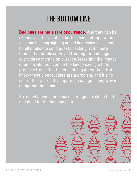# THE BOTTOM LINE

**Bed bugs are not a rare occurrence.** And they can be expensive – for a hotel's bottom line and reputation. Just one bed bug sighting or bed bug review online can be all it takes to send guests packing. With more than half of hotels surveyed treating for bed bugs every three months on average, lessening the impact of an introduction can be the key to saving a hotel property from a full-blown bed bug infestation. Hotels know these bloodsuckers are a problem, and it's no secret that a proactive approach can go a long way in mitigating the damage.

So, do what you can to make sure guests sleep tight – and don't let the bed bugs bite.